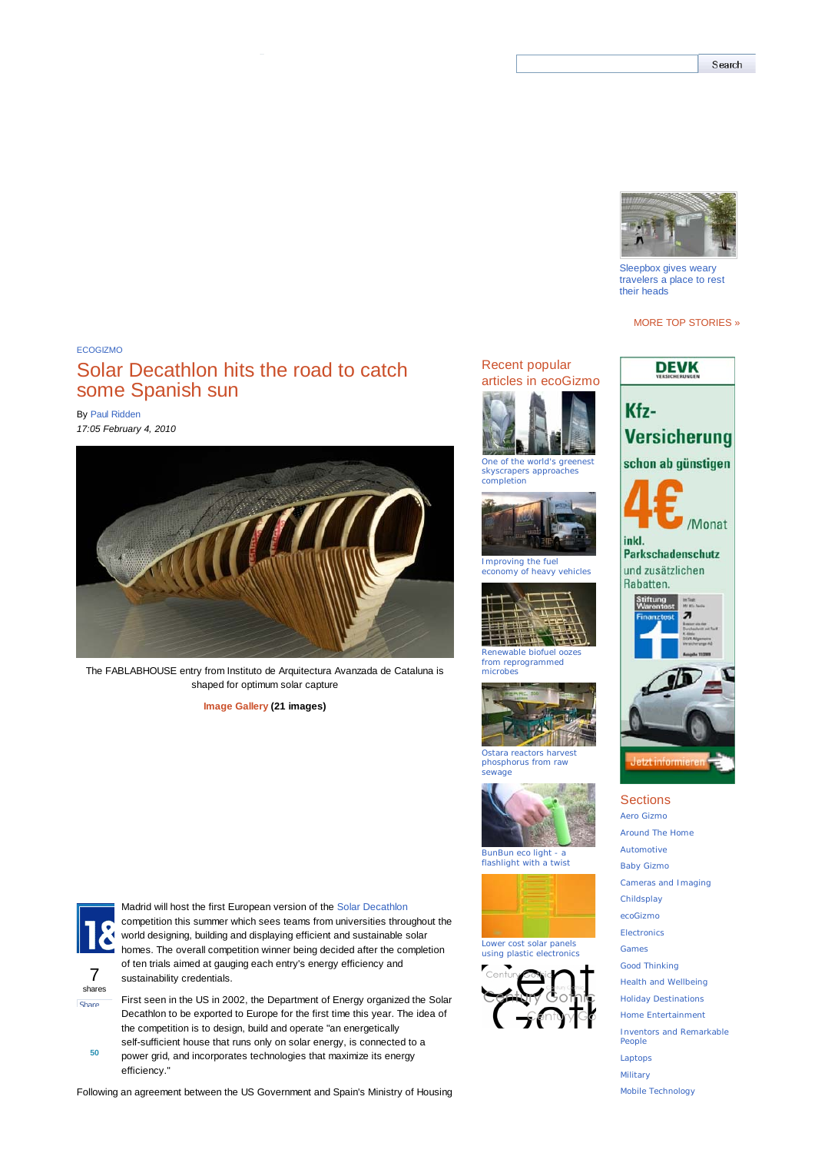## Solar Decathlon hits the road to catch some Spanish sun

By Paul Ridden *17:05 February 4, 2010*



The FABLABHOUSE entry from Instituto de Arquitectura Avanzada de Cataluna is shaped for optimum solar capture

**Image Gallery (21 images)**



Madrid will host the first European version of the Solar Decathlon competition this summer which sees teams from universities throughout the world designing, building and displaying efficient and sustainable solar homes. The overall competition winner being decided after the completion of ten trials aimed at gauging each entry's energy efficiency and sustainability credentials.

7 shares **Share** 

**50**

efficiency."

First seen in the US in 2002, the Department of Energy organized the Solar Decathlon to be exported to Europe for the first time this year. The idea of the competition is to design, build and operate "an energetically self-sufficient house that runs only on solar energy, is connected to a power grid, and incorporates technologies that maximize its energy

Following an agreement between the US Government and Spain's Ministry of Housing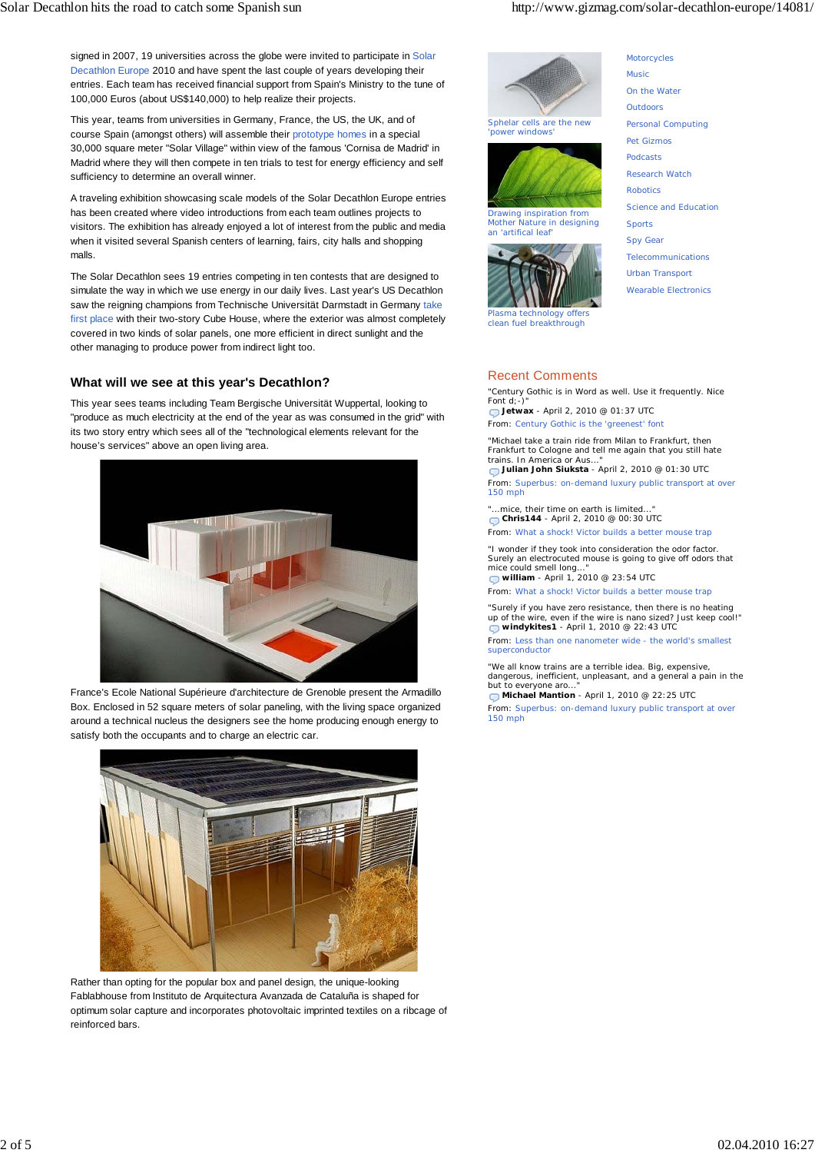signed in 2007, 19 universities across the globe were invited to participate in Solar Decathlon Europe 2010 and have spent the last couple of years developing their entries. Each team has received financial support from Spain's Ministry to the tune of 100,000 Euros (about US\$140,000) to help realize their projects.

This year, teams from universities in Germany, France, the US, the UK, and of course Spain (amongst others) will assemble their prototype homes in a special 30,000 square meter "Solar Village" within view of the famous 'Cornisa de Madrid' in Madrid where they will then compete in ten trials to test for energy efficiency and self sufficiency to determine an overall winner.

A traveling exhibition showcasing scale models of the Solar Decathlon Europe entries has been created where video introductions from each team outlines projects to visitors. The exhibition has already enjoyed a lot of interest from the public and media when it visited several Spanish centers of learning, fairs, city halls and shopping malls.

The Solar Decathlon sees 19 entries competing in ten contests that are designed to simulate the way in which we use energy in our daily lives. Last year's US Decathlon saw the reigning champions from Technische Universität Darmstadt in Germany take first place with their two-story Cube House, where the exterior was almost completely covered in two kinds of solar panels, one more efficient in direct sunlight and the other managing to produce power from indirect light too.

## **What will we see at this year's Decathlon?**

This year sees teams including Team Bergische Universität Wuppertal, looking to "produce as much electricity at the end of the year as was consumed in the grid" with its two story entry which sees all of the "technological elements relevant for the house's services" above an open living area.



France's Ecole National Supérieure d'architecture de Grenoble present the Armadillo Box. Enclosed in 52 square meters of solar paneling, with the living space organized around a technical nucleus the designers see the home producing enough energy to satisfy both the occupants and to charge an electric car.



Rather than opting for the popular box and panel design, the unique-looking Fablabhouse from Instituto de Arquitectura Avanzada de Cataluña is shaped for optimum solar capture and incorporates photovoltaic imprinted textiles on a ribcage of reinforced bars.